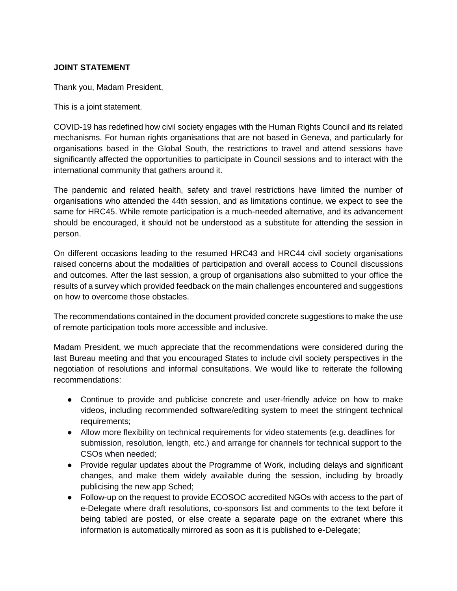## **JOINT STATEMENT**

Thank you, Madam President,

This is a joint statement.

COVID-19 has redefined how civil society engages with the Human Rights Council and its related mechanisms. For human rights organisations that are not based in Geneva, and particularly for organisations based in the Global South, the restrictions to travel and attend sessions have significantly affected the opportunities to participate in Council sessions and to interact with the international community that gathers around it.

The pandemic and related health, safety and travel restrictions have limited the number of organisations who attended the 44th session, and as limitations continue, we expect to see the same for HRC45. While remote participation is a much-needed alternative, and its advancement should be encouraged, it should not be understood as a substitute for attending the session in person.

On different occasions leading to the resumed HRC43 and HRC44 civil society organisations raised concerns about the modalities of participation and overall access to Council discussions and outcomes. After the last session, a group of organisations also submitted to your office the results of a survey which provided feedback on the main challenges encountered and suggestions on how to overcome those obstacles.

The recommendations contained in the document provided concrete suggestions to make the use of remote participation tools more accessible and inclusive.

Madam President, we much appreciate that the recommendations were considered during the last Bureau meeting and that you encouraged States to include civil society perspectives in the negotiation of resolutions and informal consultations. We would like to reiterate the following recommendations:

- Continue to provide and publicise concrete and user-friendly advice on how to make videos, including recommended software/editing system to meet the stringent technical requirements;
- Allow more flexibility on technical requirements for video statements (e.g. deadlines for submission, resolution, length, etc.) and arrange for channels for technical support to the CSOs when needed;
- Provide regular updates about the Programme of Work, including delays and significant changes, and make them widely available during the session, including by broadly publicising the new app Sched;
- Follow-up on the request to provide ECOSOC accredited NGOs with access to the part of e-Delegate where draft resolutions, co-sponsors list and comments to the text before it being tabled are posted, or else create a separate page on the extranet where this information is automatically mirrored as soon as it is published to e-Delegate;